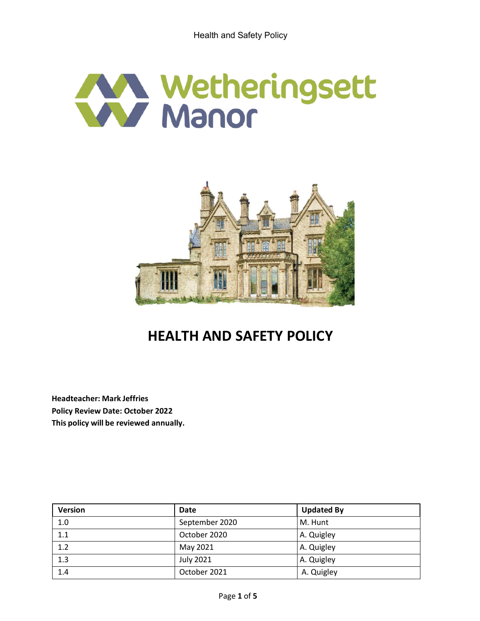



# **HEALTH AND SAFETY POLICY**

**Headteacher: Mark Jeffries Policy Review Date: October 2022 This policy will be reviewed annually.**

| <b>Version</b> | <b>Date</b>      | <b>Updated By</b> |
|----------------|------------------|-------------------|
| 1.0            | September 2020   | M. Hunt           |
| 1.1            | October 2020     | A. Quigley        |
| 1.2            | May 2021         | A. Quigley        |
| 1.3            | <b>July 2021</b> | A. Quigley        |
| 1.4            | October 2021     | A. Quigley        |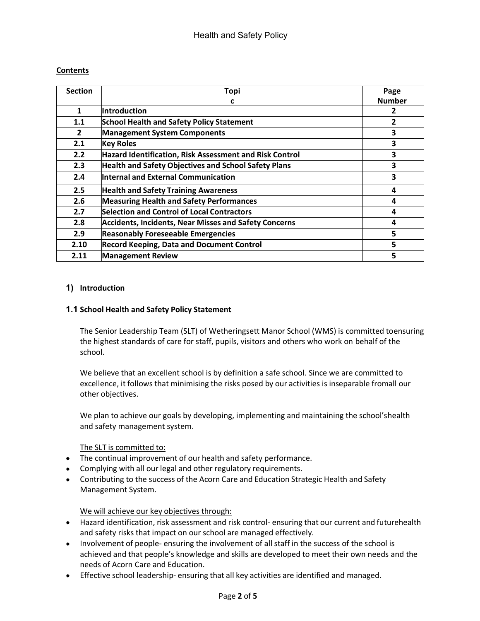## **Contents**

| <b>Section</b> | <b>Topi</b>                                                  | Page           |
|----------------|--------------------------------------------------------------|----------------|
|                | c                                                            | <b>Number</b>  |
| 1              | Introduction                                                 | 2              |
| 1.1            | <b>School Health and Safety Policy Statement</b>             | $\overline{2}$ |
| $\overline{2}$ | <b>Management System Components</b>                          | 3              |
| 2.1            | <b>Key Roles</b>                                             | 3              |
| 2.2            | Hazard Identification, Risk Assessment and Risk Control      | 3              |
| 2.3            | <b>Health and Safety Objectives and School Safety Plans</b>  | 3              |
| 2.4            | <b>Internal and External Communication</b>                   | 3              |
| 2.5            | <b>Health and Safety Training Awareness</b>                  | 4              |
| 2.6            | <b>Measuring Health and Safety Performances</b>              | 4              |
| 2.7            | Selection and Control of Local Contractors                   | 4              |
| 2.8            | <b>Accidents, Incidents, Near Misses and Safety Concerns</b> | 4              |
| 2.9            | <b>Reasonably Foreseeable Emergencies</b>                    | 5              |
| 2.10           | <b>Record Keeping, Data and Document Control</b>             | 5              |
| 2.11           | <b>Management Review</b>                                     | 5              |

## **1) Introduction**

## **1.1 School Health and Safety Policy Statement**

The Senior Leadership Team (SLT) of Wetheringsett Manor School (WMS) is committed toensuring the highest standards of care for staff, pupils, visitors and others who work on behalf of the school.

We believe that an excellent school is by definition a safe school. Since we are committed to excellence, it follows that minimising the risks posed by our activities is inseparable fromall our other objectives.

We plan to achieve our goals by developing, implementing and maintaining the school'shealth and safety management system.

#### The SLT is committed to:

- The continual improvement of our health and safety performance.
- Complying with all our legal and other regulatory requirements.
- Contributing to the success of the Acorn Care and Education Strategic Health and Safety Management System.

# We will achieve our key objectives through:

- Hazard identification, risk assessment and risk control- ensuring that our current and futurehealth and safety risks that impact on our school are managed effectively.
- Involvement of people- ensuring the involvement of all staff in the success of the school is achieved and that people's knowledge and skills are developed to meet their own needs and the needs of Acorn Care and Education.
- Effective school leadership- ensuring that all key activities are identified and managed.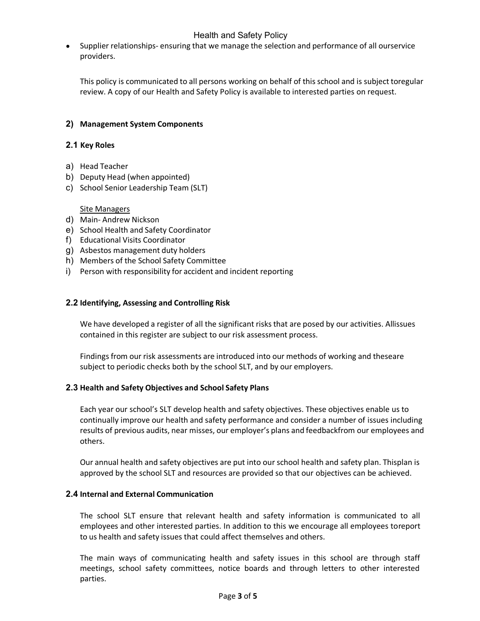# Health and Safety Policy

 $\bullet$ Supplier relationships- ensuring that we manage the selection and performance of all ourservice providers.

This policy is communicated to all persons working on behalf of this school and is subject toregular review. A copy of our Health and Safety Policy is available to interested parties on request.

## **2) Management System Components**

#### **2.1 Key Roles**

- a) Head Teacher
- b) Deputy Head (when appointed)
- c) School Senior Leadership Team (SLT)

#### Site Managers

- d) Main- Andrew Nickson
- e) School Health and Safety Coordinator
- f) Educational Visits Coordinator
- g) Asbestos management duty holders
- h) Members of the School Safety Committee
- i) Person with responsibility for accident and incident reporting

#### **2.2 Identifying, Assessing and Controlling Risk**

We have developed a register of all the significant risks that are posed by our activities. Allissues contained in this register are subject to our risk assessment process.

Findings from our risk assessments are introduced into our methods of working and theseare subject to periodic checks both by the school SLT, and by our employers.

#### **2.3 Health and Safety Objectives and School Safety Plans**

Each year our school's SLT develop health and safety objectives. These objectives enable us to continually improve our health and safety performance and consider a number of issues including results of previous audits, near misses, our employer's plans and feedbackfrom our employees and others.

Our annual health and safety objectives are put into our school health and safety plan. Thisplan is approved by the school SLT and resources are provided so that our objectives can be achieved.

#### **2.4 Internal and External Communication**

The school SLT ensure that relevant health and safety information is communicated to all employees and other interested parties. In addition to this we encourage all employees toreport to us health and safety issues that could affect themselves and others.

The main ways of communicating health and safety issues in this school are through staff meetings, school safety committees, notice boards and through letters to other interested parties.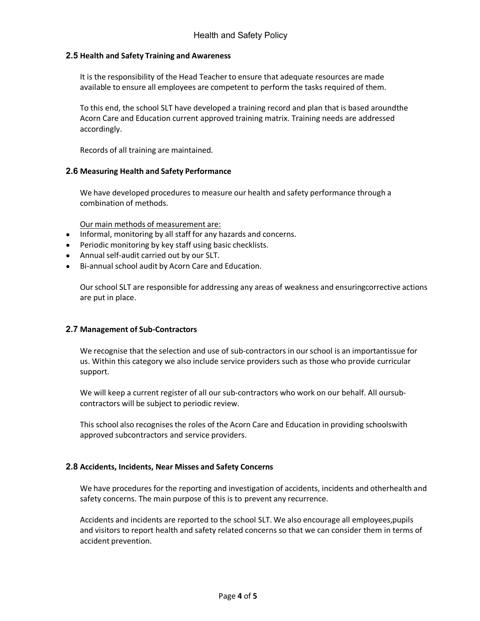#### **2.5 Health and Safety Training and Awareness**

It is the responsibility of the Head Teacher to ensure that adequate resources are made available to ensure all employees are competent to perform the tasks required of them.

To this end, the school SLT have developed a training record and plan that is based aroundthe Acorn Care and Education current approved training matrix. Training needs are addressed accordingly.

Records of all training are maintained.

#### **2.6 Measuring Health and Safety Performance**

We have developed procedures to measure our health and safety performance through a combination of methods.

Our main methods of measurement are:

- Informal, monitoring by all staff for any hazards and concerns.
- Periodic monitoring by key staff using basic checklists.
- Annual self-audit carried out by our SLT.
- Bi-annual school audit by Acorn Care and Education.

Ourschool SLT are responsible for addressing any areas of weakness and ensuringcorrective actions are put in place.

#### **2.7 Management of Sub-Contractors**

We recognise that the selection and use of sub-contractors in ourschool is an importantissue for us. Within this category we also include service providers such as those who provide curricular support.

We will keep a current register of all our sub-contractors who work on our behalf. All oursubcontractors will be subject to periodic review.

This school also recognises the roles of the Acorn Care and Education in providing schoolswith approved subcontractors and service providers.

#### **2.8 Accidents, Incidents, Near Misses and Safety Concerns**

We have procedures for the reporting and investigation of accidents, incidents and otherhealth and safety concerns. The main purpose of this is to prevent any recurrence.

Accidents and incidents are reported to the school SLT. We also encourage all employees,pupils and visitors to report health and safety related concerns so that we can consider them in terms of accident prevention.